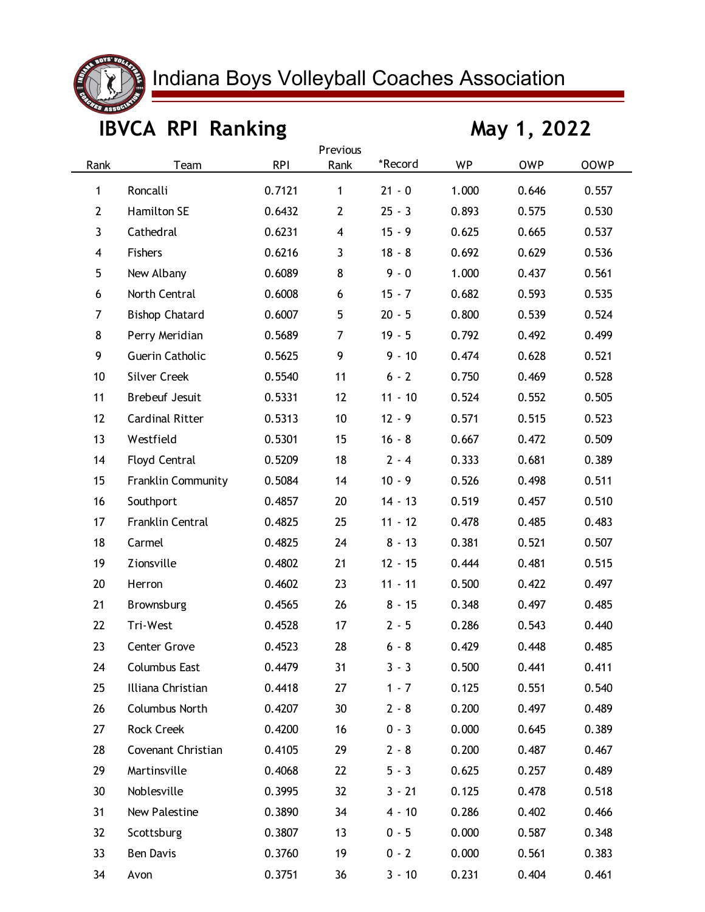

## Indiana Boys Volleyball Coaches Association

## **IBVCA RPI Ranking May 1, 2022**

| Previous<br>*Record<br><b>RPI</b><br><b>WP</b><br>Rank<br><b>OWP</b><br><b>OOWP</b><br>Rank<br>Team |                        |        |                         |           |       |       |       |  |  |  |  |
|-----------------------------------------------------------------------------------------------------|------------------------|--------|-------------------------|-----------|-------|-------|-------|--|--|--|--|
|                                                                                                     |                        |        |                         |           |       |       |       |  |  |  |  |
| 1                                                                                                   | Roncalli               | 0.7121 | $\mathbf{1}$            | $21 - 0$  | 1.000 | 0.646 | 0.557 |  |  |  |  |
| $\overline{2}$                                                                                      | Hamilton SE            | 0.6432 | $\overline{2}$          | $25 - 3$  | 0.893 | 0.575 | 0.530 |  |  |  |  |
| 3                                                                                                   | Cathedral              | 0.6231 | $\overline{\mathbf{4}}$ | $15 - 9$  | 0.625 | 0.665 | 0.537 |  |  |  |  |
| 4                                                                                                   | Fishers                | 0.6216 | 3                       | $18 - 8$  | 0.692 | 0.629 | 0.536 |  |  |  |  |
| 5                                                                                                   | New Albany             | 0.6089 | 8                       | $9 - 0$   | 1.000 | 0.437 | 0.561 |  |  |  |  |
| 6                                                                                                   | North Central          | 0.6008 | 6                       | $15 - 7$  | 0.682 | 0.593 | 0.535 |  |  |  |  |
| 7                                                                                                   | <b>Bishop Chatard</b>  | 0.6007 | 5                       | $20 - 5$  | 0.800 | 0.539 | 0.524 |  |  |  |  |
| 8                                                                                                   | Perry Meridian         | 0.5689 | $\overline{7}$          | $19 - 5$  | 0.792 | 0.492 | 0.499 |  |  |  |  |
| 9                                                                                                   | Guerin Catholic        | 0.5625 | 9                       | $9 - 10$  | 0.474 | 0.628 | 0.521 |  |  |  |  |
| 10                                                                                                  | <b>Silver Creek</b>    | 0.5540 | 11                      | $6 - 2$   | 0.750 | 0.469 | 0.528 |  |  |  |  |
| 11                                                                                                  | <b>Brebeuf Jesuit</b>  | 0.5331 | 12                      | $11 - 10$ | 0.524 | 0.552 | 0.505 |  |  |  |  |
| 12                                                                                                  | <b>Cardinal Ritter</b> | 0.5313 | 10                      | $12 - 9$  | 0.571 | 0.515 | 0.523 |  |  |  |  |
| 13                                                                                                  | Westfield              | 0.5301 | 15                      | $16 - 8$  | 0.667 | 0.472 | 0.509 |  |  |  |  |
| 14                                                                                                  | Floyd Central          | 0.5209 | 18                      | $2 - 4$   | 0.333 | 0.681 | 0.389 |  |  |  |  |
| 15                                                                                                  | Franklin Community     | 0.5084 | 14                      | $10 - 9$  | 0.526 | 0.498 | 0.511 |  |  |  |  |
| 16                                                                                                  | Southport              | 0.4857 | 20                      | $14 - 13$ | 0.519 | 0.457 | 0.510 |  |  |  |  |
| 17                                                                                                  | Franklin Central       | 0.4825 | 25                      | $11 - 12$ | 0.478 | 0.485 | 0.483 |  |  |  |  |
| 18                                                                                                  | Carmel                 | 0.4825 | 24                      | $8 - 13$  | 0.381 | 0.521 | 0.507 |  |  |  |  |
| 19                                                                                                  | Zionsville             | 0.4802 | 21                      | $12 - 15$ | 0.444 | 0.481 | 0.515 |  |  |  |  |
| 20                                                                                                  | Herron                 | 0.4602 | 23                      | $11 - 11$ | 0.500 | 0.422 | 0.497 |  |  |  |  |
| 21                                                                                                  | Brownsburg             | 0.4565 | 26                      | $8 - 15$  | 0.348 | 0.497 | 0.485 |  |  |  |  |
| 22                                                                                                  | Tri-West               | 0.4528 | 17                      | $2 - 5$   | 0.286 | 0.543 | 0.440 |  |  |  |  |
| 23                                                                                                  | Center Grove           | 0.4523 | 28                      | $6 - 8$   | 0.429 | 0.448 | 0.485 |  |  |  |  |
| 24                                                                                                  | Columbus East          | 0.4479 | 31                      | $3 - 3$   | 0.500 | 0.441 | 0.411 |  |  |  |  |
| 25                                                                                                  | Illiana Christian      | 0.4418 | 27                      | $1 - 7$   | 0.125 | 0.551 | 0.540 |  |  |  |  |
| 26                                                                                                  | Columbus North         | 0.4207 | 30                      | $2 - 8$   | 0.200 | 0.497 | 0.489 |  |  |  |  |
| 27                                                                                                  | Rock Creek             | 0.4200 | 16                      | $0 - 3$   | 0.000 | 0.645 | 0.389 |  |  |  |  |
| 28                                                                                                  | Covenant Christian     | 0.4105 | 29                      | $2 - 8$   | 0.200 | 0.487 | 0.467 |  |  |  |  |
| 29                                                                                                  | Martinsville           | 0.4068 | 22                      | $5 - 3$   | 0.625 | 0.257 | 0.489 |  |  |  |  |
| 30                                                                                                  | Noblesville            | 0.3995 | 32                      | $3 - 21$  | 0.125 | 0.478 | 0.518 |  |  |  |  |
| 31                                                                                                  | New Palestine          | 0.3890 | 34                      | $4 - 10$  | 0.286 | 0.402 | 0.466 |  |  |  |  |
| 32                                                                                                  | Scottsburg             | 0.3807 | 13                      | $0 - 5$   | 0.000 | 0.587 | 0.348 |  |  |  |  |
| 33                                                                                                  | <b>Ben Davis</b>       | 0.3760 | 19                      | $0 - 2$   | 0.000 | 0.561 | 0.383 |  |  |  |  |
| 34                                                                                                  | Avon                   | 0.3751 | 36                      | $3 - 10$  | 0.231 | 0.404 | 0.461 |  |  |  |  |